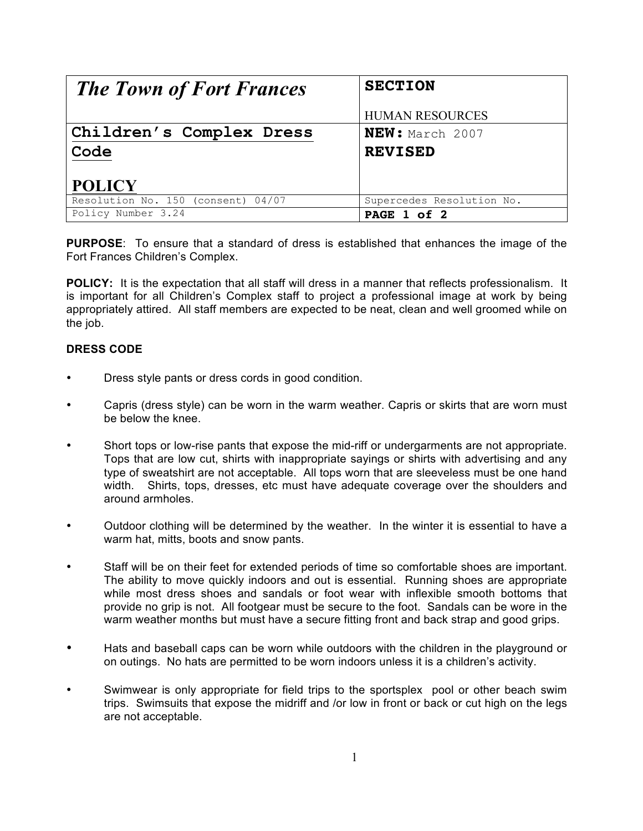| <b>The Town of Fort Frances</b>    | <b>SECTION</b>            |
|------------------------------------|---------------------------|
|                                    | <b>HUMAN RESOURCES</b>    |
| Children's Complex Dress           | NEW: March 2007           |
| Code                               | <b>REVISED</b>            |
| <b>POLICY</b>                      |                           |
| Resolution No. 150 (consent) 04/07 | Supercedes Resolution No. |
| Policy Number 3.24                 | PAGE 1 of 2               |

**PURPOSE**: To ensure that a standard of dress is established that enhances the image of the Fort Frances Children's Complex.

**POLICY:** It is the expectation that all staff will dress in a manner that reflects professionalism. It is important for all Children's Complex staff to project a professional image at work by being appropriately attired. All staff members are expected to be neat, clean and well groomed while on the job.

## **DRESS CODE**

- Dress style pants or dress cords in good condition.
- Capris (dress style) can be worn in the warm weather. Capris or skirts that are worn must be below the knee.
- Short tops or low-rise pants that expose the mid-riff or undergarments are not appropriate. Tops that are low cut, shirts with inappropriate sayings or shirts with advertising and any type of sweatshirt are not acceptable. All tops worn that are sleeveless must be one hand width. Shirts, tops, dresses, etc must have adequate coverage over the shoulders and around armholes.
- Outdoor clothing will be determined by the weather. In the winter it is essential to have a warm hat, mitts, boots and snow pants.
- Staff will be on their feet for extended periods of time so comfortable shoes are important. The ability to move quickly indoors and out is essential. Running shoes are appropriate while most dress shoes and sandals or foot wear with inflexible smooth bottoms that provide no grip is not. All footgear must be secure to the foot. Sandals can be wore in the warm weather months but must have a secure fitting front and back strap and good grips.
- Hats and baseball caps can be worn while outdoors with the children in the playground or on outings. No hats are permitted to be worn indoors unless it is a children's activity.
- Swimwear is only appropriate for field trips to the sportsplex pool or other beach swim trips. Swimsuits that expose the midriff and /or low in front or back or cut high on the legs are not acceptable.